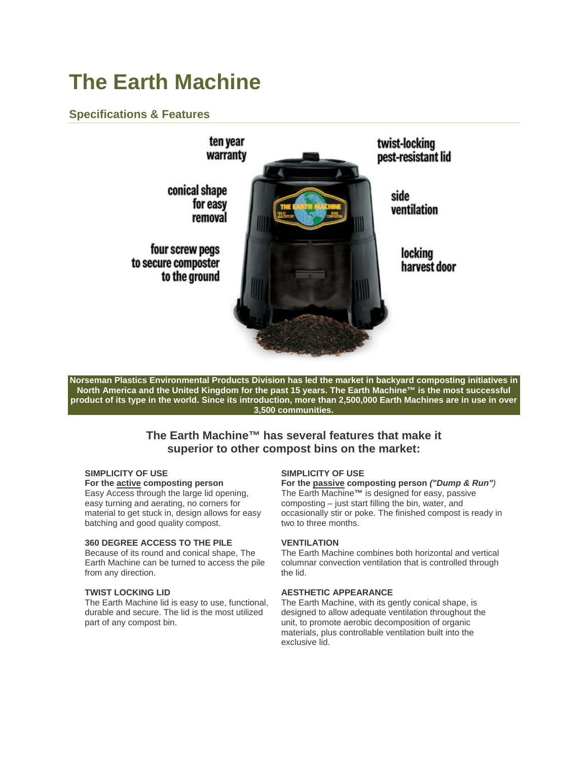# **The Earth Machine**

# **Specifications & Features**



**Norseman Plastics Environmental Products Division has led the market in backyard composting initiatives in North America and the United Kingdom for the past 15 years. The Earth Machine™ is the most successful product of its type in the world. Since its introduction, more than 2,500,000 Earth Machines are in use in over 3,500 communities.** 

# **The Earth Machine™ has several features that make it superior to other compost bins on the market:**

#### **SIMPLICITY OF USE**

#### **For the active composting person**

Easy Access through the large lid opening, easy turning and aerating, no corners for material to get stuck in, design allows for easy batching and good quality compost.

#### **360 DEGREE ACCESS TO THE PILE**

Because of its round and conical shape, The Earth Machine can be turned to access the pile from any direction.

# **TWIST LOCKING LID**

The Earth Machine lid is easy to use, functional, durable and secure. The lid is the most utilized part of any compost bin.

#### **SIMPLICITY OF USE**

**For the passive composting person** *("Dump & Run")* The Earth Machine**™** is designed for easy, passive composting – just start filling the bin, water, and occasionally stir or poke. The finished compost is ready in two to three months.

# **VENTILATION**

The Earth Machine combines both horizontal and vertical columnar convection ventilation that is controlled through the lid.

# **AESTHETIC APPEARANCE**

The Earth Machine, with its gently conical shape, is designed to allow adequate ventilation throughout the unit, to promote aerobic decomposition of organic materials, plus controllable ventilation built into the exclusive lid.